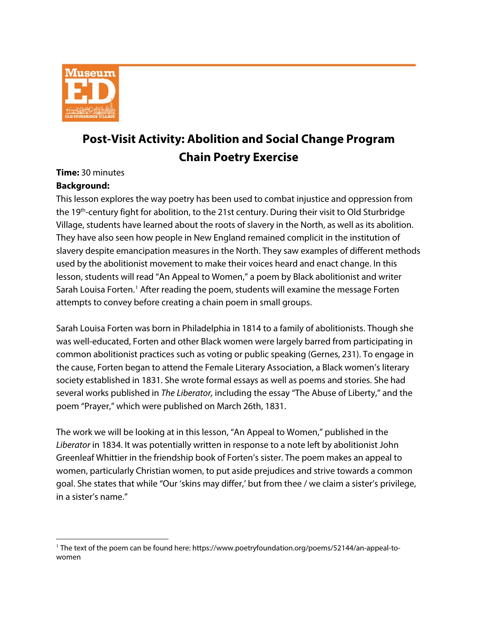

# **Post-Visit Activity: Abolition and Social Change Program Chain Poetry Exercise**

**Time:** 30 minutes

### **Background:**

This lesson explores the way poetry has been used to combat injustice and oppression from the 19th-century fight for abolition, to the 21st century. During their visit to Old Sturbridge Village, students have learned about the roots of slavery in the North, as well as its abolition. They have also seen how people in New England remained complicit in the institution of slavery despite emancipation measures in the North. They saw examples of different methods used by the abolitionist movement to make their voices heard and enact change. In this lesson, students will read "An Appeal to Women," a poem by Black abolitionist and writer Sarah Louisa Forten.<sup>[1](#page-0-0)</sup> After reading the poem, students will examine the message Forten attempts to convey before creating a chain poem in small groups.

Sarah Louisa Forten was born in Philadelphia in 1814 to a family of abolitionists. Though she was well-educated, Forten and other Black women were largely barred from participating in common abolitionist practices such as voting or public speaking (Gernes, 231). To engage in the cause, Forten began to attend the Female Literary Association, a Black women's literary society established in 1831. She wrote formal essays as well as poems and stories. She had several works published in *The Liberator,* including the essay "The Abuse of Liberty," and the poem "Prayer," which were published on March 26th, 1831.

The work we will be looking at in this lesson, "An Appeal to Women," published in the *Liberator* in 1834. It was potentially written in response to a note left by abolitionist John Greenleaf Whittier in the friendship book of Forten's sister. The poem makes an appeal to women, particularly Christian women, to put aside prejudices and strive towards a common goal. She states that while "Our 'skins may differ,' but from thee / we claim a sister's privilege, in a sister's name."

<span id="page-0-0"></span> $\ddot{\phantom{a}}$ <sup>1</sup> The text of the poem can be found here: https://www.poetryfoundation.org/poems/52144/an-appeal-towomen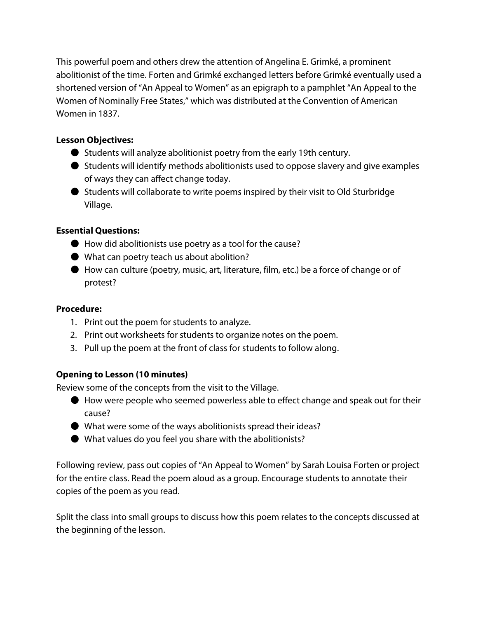This powerful poem and others drew the attention of Angelina E. Grimké, a prominent abolitionist of the time. Forten and Grimké exchanged letters before Grimké eventually used a shortened version of "An Appeal to Women" as an epigraph to a pamphlet "An Appeal to the Women of Nominally Free States," which was distributed at the Convention of American Women in 1837.

## **Lesson Objectives:**

- Students will analyze abolitionist poetry from the early 19th century.
- Students will identify methods abolitionists used to oppose slavery and give examples of ways they can affect change today.
- Students will collaborate to write poems inspired by their visit to Old Sturbridge Village.

# **Essential Questions:**

- $\bullet$  How did abolitionists use poetry as a tool for the cause?
- What can poetry teach us about abolition?
- How can culture (poetry, music, art, literature, film, etc.) be a force of change or of protest?

## **Procedure:**

- 1. Print out the poem for students to analyze.
- 2. Print out worksheets for students to organize notes on the poem.
- 3. Pull up the poem at the front of class for students to follow along.

# **Opening to Lesson (10 minutes)**

Review some of the concepts from the visit to the Village.

- How were people who seemed powerless able to effect change and speak out for their cause?
- What were some of the ways abolitionists spread their ideas?
- What values do you feel you share with the abolitionists?

Following review, pass out copies of "An Appeal to Women" by Sarah Louisa Forten or project for the entire class. Read the poem aloud as a group. Encourage students to annotate their copies of the poem as you read.

Split the class into small groups to discuss how this poem relates to the concepts discussed at the beginning of the lesson.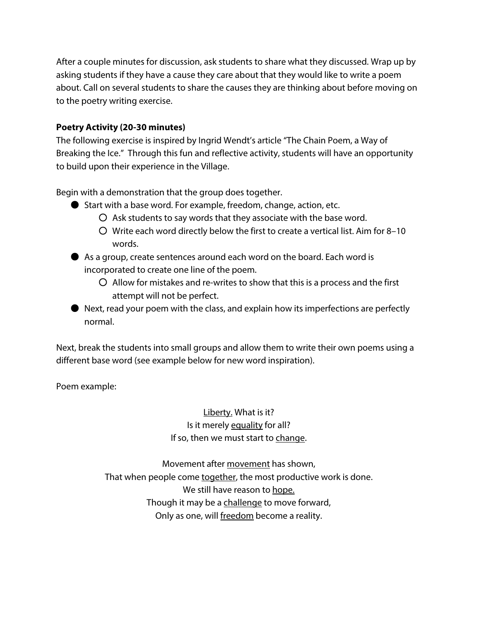After a couple minutes for discussion, ask students to share what they discussed. Wrap up by asking students if they have a cause they care about that they would like to write a poem about. Call on several students to share the causes they are thinking about before moving on to the poetry writing exercise.

#### **Poetry Activity (20-30 minutes)**

The following exercise is inspired by Ingrid Wendt's article "The Chain Poem, a Way of Breaking the Ice." Through this fun and reflective activity, students will have an opportunity to build upon their experience in the Village.

Begin with a demonstration that the group does together.

- Start with a base word. For example, freedom, change, action, etc.
	- $\overline{O}$  Ask students to say words that they associate with the base word.
	- Write each word directly below the first to create a vertical list. Aim for 8–10 words.
- As a group, create sentences around each word on the board. Each word is incorporated to create one line of the poem.
	- $\overline{O}$  Allow for mistakes and re-writes to show that this is a process and the first attempt will not be perfect.
- Next, read your poem with the class, and explain how its imperfections are perfectly normal.

Next, break the students into small groups and allow them to write their own poems using a different base word (see example below for new word inspiration).

Poem example:

Liberty. What is it? Is it merely equality for all? If so, then we must start to change.

Movement after movement has shown, That when people come together, the most productive work is done. We still have reason to hope. Though it may be a challenge to move forward, Only as one, will freedom become a reality.